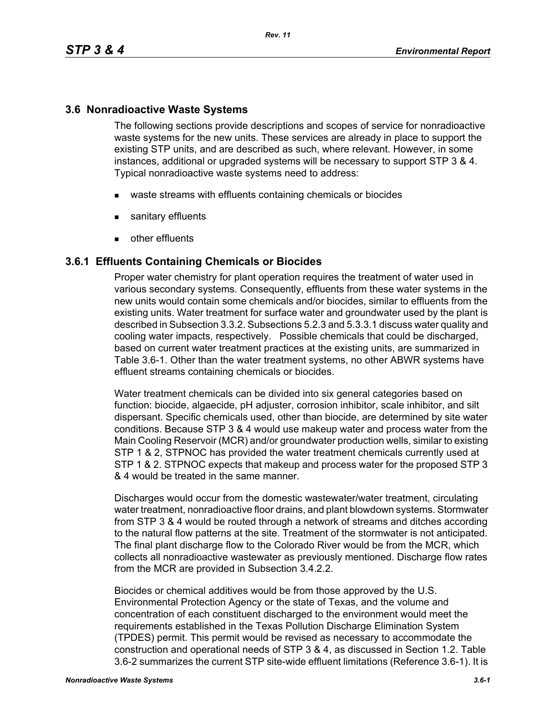### **3.6 Nonradioactive Waste Systems**

The following sections provide descriptions and scopes of service for nonradioactive waste systems for the new units. These services are already in place to support the existing STP units, and are described as such, where relevant. However, in some instances, additional or upgraded systems will be necessary to support STP 3 & 4. Typical nonradioactive waste systems need to address:

- waste streams with effluents containing chemicals or biocides
- sanitary effluents
- **other effluents**

### **3.6.1 Effluents Containing Chemicals or Biocides**

Proper water chemistry for plant operation requires the treatment of water used in various secondary systems. Consequently, effluents from these water systems in the new units would contain some chemicals and/or biocides, similar to effluents from the existing units. Water treatment for surface water and groundwater used by the plant is described in Subsection 3.3.2. Subsections 5.2.3 and 5.3.3.1 discuss water quality and cooling water impacts, respectively. Possible chemicals that could be discharged, based on current water treatment practices at the existing units, are summarized in Table 3.6-1. Other than the water treatment systems, no other ABWR systems have effluent streams containing chemicals or biocides.

Water treatment chemicals can be divided into six general categories based on function: biocide, algaecide, pH adjuster, corrosion inhibitor, scale inhibitor, and silt dispersant. Specific chemicals used, other than biocide, are determined by site water conditions. Because STP 3 & 4 would use makeup water and process water from the Main Cooling Reservoir (MCR) and/or groundwater production wells, similar to existing STP 1 & 2, STPNOC has provided the water treatment chemicals currently used at STP 1 & 2. STPNOC expects that makeup and process water for the proposed STP 3 & 4 would be treated in the same manner.

Discharges would occur from the domestic wastewater/water treatment, circulating water treatment, nonradioactive floor drains, and plant blowdown systems. Stormwater from STP 3 & 4 would be routed through a network of streams and ditches according to the natural flow patterns at the site. Treatment of the stormwater is not anticipated. The final plant discharge flow to the Colorado River would be from the MCR, which collects all nonradioactive wastewater as previously mentioned. Discharge flow rates from the MCR are provided in Subsection 3.4.2.2.

Biocides or chemical additives would be from those approved by the U.S. Environmental Protection Agency or the state of Texas, and the volume and concentration of each constituent discharged to the environment would meet the requirements established in the Texas Pollution Discharge Elimination System (TPDES) permit. This permit would be revised as necessary to accommodate the construction and operational needs of STP 3 & 4, as discussed in Section 1.2. Table 3.6-2 summarizes the current STP site-wide effluent limitations (Reference 3.6-1). It is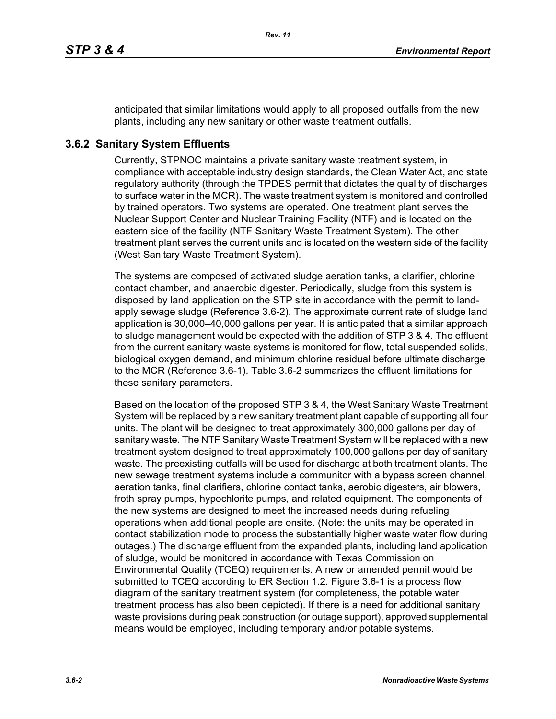anticipated that similar limitations would apply to all proposed outfalls from the new plants, including any new sanitary or other waste treatment outfalls.

# **3.6.2 Sanitary System Effluents**

Currently, STPNOC maintains a private sanitary waste treatment system, in compliance with acceptable industry design standards, the Clean Water Act, and state regulatory authority (through the TPDES permit that dictates the quality of discharges to surface water in the MCR). The waste treatment system is monitored and controlled by trained operators. Two systems are operated. One treatment plant serves the Nuclear Support Center and Nuclear Training Facility (NTF) and is located on the eastern side of the facility (NTF Sanitary Waste Treatment System). The other treatment plant serves the current units and is located on the western side of the facility (West Sanitary Waste Treatment System).

The systems are composed of activated sludge aeration tanks, a clarifier, chlorine contact chamber, and anaerobic digester. Periodically, sludge from this system is disposed by land application on the STP site in accordance with the permit to landapply sewage sludge (Reference 3.6-2). The approximate current rate of sludge land application is 30,000–40,000 gallons per year. It is anticipated that a similar approach to sludge management would be expected with the addition of STP 3 & 4. The effluent from the current sanitary waste systems is monitored for flow, total suspended solids, biological oxygen demand, and minimum chlorine residual before ultimate discharge to the MCR (Reference 3.6-1). Table 3.6-2 summarizes the effluent limitations for these sanitary parameters.

Based on the location of the proposed STP 3 & 4, the West Sanitary Waste Treatment System will be replaced by a new sanitary treatment plant capable of supporting all four units. The plant will be designed to treat approximately 300,000 gallons per day of sanitary waste. The NTF Sanitary Waste Treatment System will be replaced with a new treatment system designed to treat approximately 100,000 gallons per day of sanitary waste. The preexisting outfalls will be used for discharge at both treatment plants. The new sewage treatment systems include a communitor with a bypass screen channel, aeration tanks, final clarifiers, chlorine contact tanks, aerobic digesters, air blowers, froth spray pumps, hypochlorite pumps, and related equipment. The components of the new systems are designed to meet the increased needs during refueling operations when additional people are onsite. (Note: the units may be operated in contact stabilization mode to process the substantially higher waste water flow during outages.) The discharge effluent from the expanded plants, including land application of sludge, would be monitored in accordance with Texas Commission on Environmental Quality (TCEQ) requirements. A new or amended permit would be submitted to TCEQ according to ER Section 1.2. Figure 3.6-1 is a process flow diagram of the sanitary treatment system (for completeness, the potable water treatment process has also been depicted). If there is a need for additional sanitary waste provisions during peak construction (or outage support), approved supplemental means would be employed, including temporary and/or potable systems.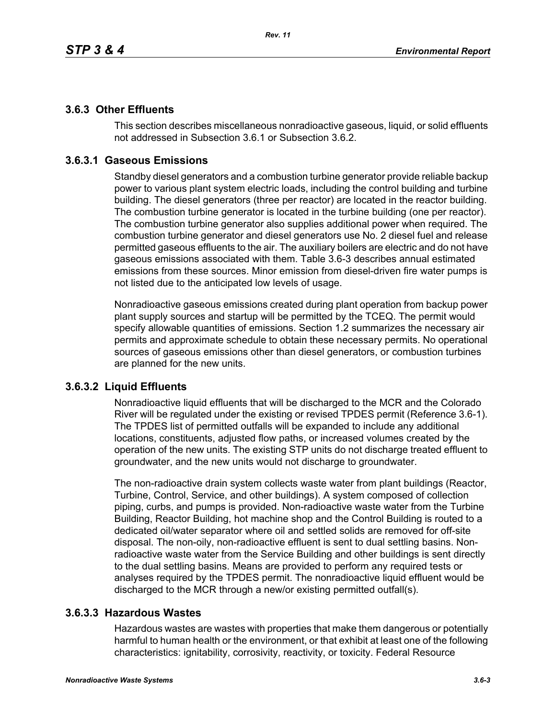# **3.6.3 Other Effluents**

This section describes miscellaneous nonradioactive gaseous, liquid, or solid effluents not addressed in Subsection 3.6.1 or Subsection 3.6.2.

# **3.6.3.1 Gaseous Emissions**

Standby diesel generators and a combustion turbine generator provide reliable backup power to various plant system electric loads, including the control building and turbine building. The diesel generators (three per reactor) are located in the reactor building. The combustion turbine generator is located in the turbine building (one per reactor). The combustion turbine generator also supplies additional power when required. The combustion turbine generator and diesel generators use No. 2 diesel fuel and release permitted gaseous effluents to the air. The auxiliary boilers are electric and do not have gaseous emissions associated with them. Table 3.6-3 describes annual estimated emissions from these sources. Minor emission from diesel-driven fire water pumps is not listed due to the anticipated low levels of usage.

Nonradioactive gaseous emissions created during plant operation from backup power plant supply sources and startup will be permitted by the TCEQ. The permit would specify allowable quantities of emissions. Section 1.2 summarizes the necessary air permits and approximate schedule to obtain these necessary permits. No operational sources of gaseous emissions other than diesel generators, or combustion turbines are planned for the new units.

### **3.6.3.2 Liquid Effluents**

Nonradioactive liquid effluents that will be discharged to the MCR and the Colorado River will be regulated under the existing or revised TPDES permit (Reference 3.6-1). The TPDES list of permitted outfalls will be expanded to include any additional locations, constituents, adjusted flow paths, or increased volumes created by the operation of the new units. The existing STP units do not discharge treated effluent to groundwater, and the new units would not discharge to groundwater.

The non-radioactive drain system collects waste water from plant buildings (Reactor, Turbine, Control, Service, and other buildings). A system composed of collection piping, curbs, and pumps is provided. Non-radioactive waste water from the Turbine Building, Reactor Building, hot machine shop and the Control Building is routed to a dedicated oil/water separator where oil and settled solids are removed for off-site disposal. The non-oily, non-radioactive effluent is sent to dual settling basins. Nonradioactive waste water from the Service Building and other buildings is sent directly to the dual settling basins. Means are provided to perform any required tests or analyses required by the TPDES permit. The nonradioactive liquid effluent would be discharged to the MCR through a new/or existing permitted outfall(s).

### **3.6.3.3 Hazardous Wastes**

Hazardous wastes are wastes with properties that make them dangerous or potentially harmful to human health or the environment, or that exhibit at least one of the following characteristics: ignitability, corrosivity, reactivity, or toxicity. Federal Resource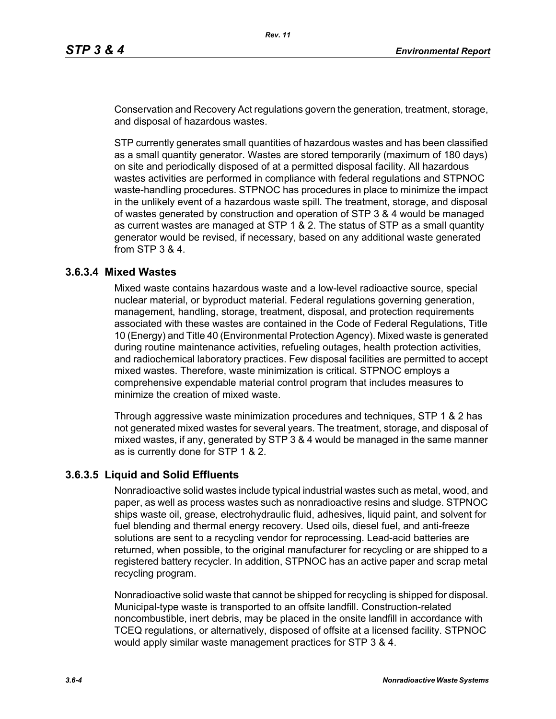Conservation and Recovery Act regulations govern the generation, treatment, storage, and disposal of hazardous wastes.

STP currently generates small quantities of hazardous wastes and has been classified as a small quantity generator. Wastes are stored temporarily (maximum of 180 days) on site and periodically disposed of at a permitted disposal facility. All hazardous wastes activities are performed in compliance with federal regulations and STPNOC waste-handling procedures. STPNOC has procedures in place to minimize the impact in the unlikely event of a hazardous waste spill. The treatment, storage, and disposal of wastes generated by construction and operation of STP 3 & 4 would be managed as current wastes are managed at STP 1 & 2. The status of STP as a small quantity generator would be revised, if necessary, based on any additional waste generated from STP 3 & 4.

#### **3.6.3.4 Mixed Wastes**

Mixed waste contains hazardous waste and a low-level radioactive source, special nuclear material, or byproduct material. Federal regulations governing generation, management, handling, storage, treatment, disposal, and protection requirements associated with these wastes are contained in the Code of Federal Regulations, Title 10 (Energy) and Title 40 (Environmental Protection Agency). Mixed waste is generated during routine maintenance activities, refueling outages, health protection activities, and radiochemical laboratory practices. Few disposal facilities are permitted to accept mixed wastes. Therefore, waste minimization is critical. STPNOC employs a comprehensive expendable material control program that includes measures to minimize the creation of mixed waste.

Through aggressive waste minimization procedures and techniques, STP 1 & 2 has not generated mixed wastes for several years. The treatment, storage, and disposal of mixed wastes, if any, generated by STP 3 & 4 would be managed in the same manner as is currently done for STP 1 & 2.

#### **3.6.3.5 Liquid and Solid Effluents**

Nonradioactive solid wastes include typical industrial wastes such as metal, wood, and paper, as well as process wastes such as nonradioactive resins and sludge. STPNOC ships waste oil, grease, electrohydraulic fluid, adhesives, liquid paint, and solvent for fuel blending and thermal energy recovery. Used oils, diesel fuel, and anti-freeze solutions are sent to a recycling vendor for reprocessing. Lead-acid batteries are returned, when possible, to the original manufacturer for recycling or are shipped to a registered battery recycler. In addition, STPNOC has an active paper and scrap metal recycling program.

Nonradioactive solid waste that cannot be shipped for recycling is shipped for disposal. Municipal-type waste is transported to an offsite landfill. Construction-related noncombustible, inert debris, may be placed in the onsite landfill in accordance with TCEQ regulations, or alternatively, disposed of offsite at a licensed facility. STPNOC would apply similar waste management practices for STP 3 & 4.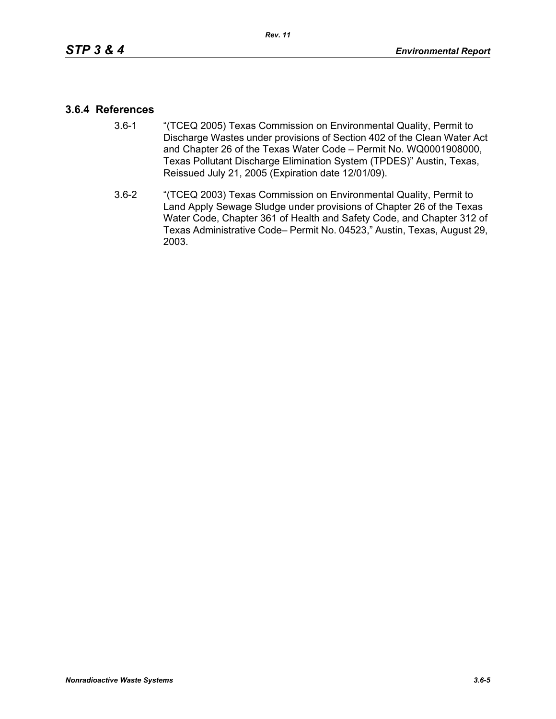#### **3.6.4 References**

- 3.6-1 "(TCEQ 2005) Texas Commission on Environmental Quality, Permit to Discharge Wastes under provisions of Section 402 of the Clean Water Act and Chapter 26 of the Texas Water Code – Permit No. WQ0001908000, Texas Pollutant Discharge Elimination System (TPDES)" Austin, Texas, Reissued July 21, 2005 (Expiration date 12/01/09).
- 3.6-2 "(TCEQ 2003) Texas Commission on Environmental Quality, Permit to Land Apply Sewage Sludge under provisions of Chapter 26 of the Texas Water Code, Chapter 361 of Health and Safety Code, and Chapter 312 of Texas Administrative Code– Permit No. 04523," Austin, Texas, August 29, 2003.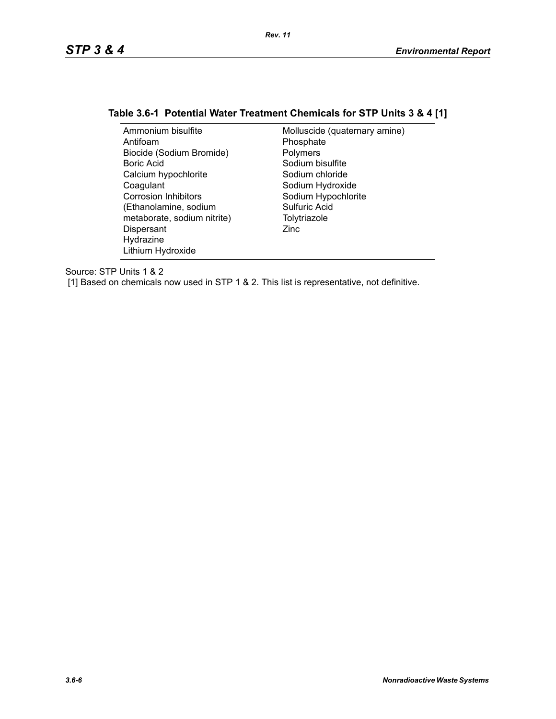# **Table 3.6-1 Potential Water Treatment Chemicals for STP Units 3 & 4 [1]**

| Ammonium bisulfite          | Molluscide (quaternary amine) |
|-----------------------------|-------------------------------|
| Antifoam                    | Phosphate                     |
| Biocide (Sodium Bromide)    | Polymers                      |
| Boric Acid                  | Sodium bisulfite              |
| Calcium hypochlorite        | Sodium chloride               |
| Coagulant                   | Sodium Hydroxide              |
| <b>Corrosion Inhibitors</b> | Sodium Hypochlorite           |
| (Ethanolamine, sodium       | Sulfuric Acid                 |
| metaborate, sodium nitrite) | Tolytriazole                  |
| Dispersant                  | Zinc                          |
| Hydrazine                   |                               |
| Lithium Hydroxide           |                               |

Source: STP Units 1 & 2

[1] Based on chemicals now used in STP 1 & 2. This list is representative, not definitive.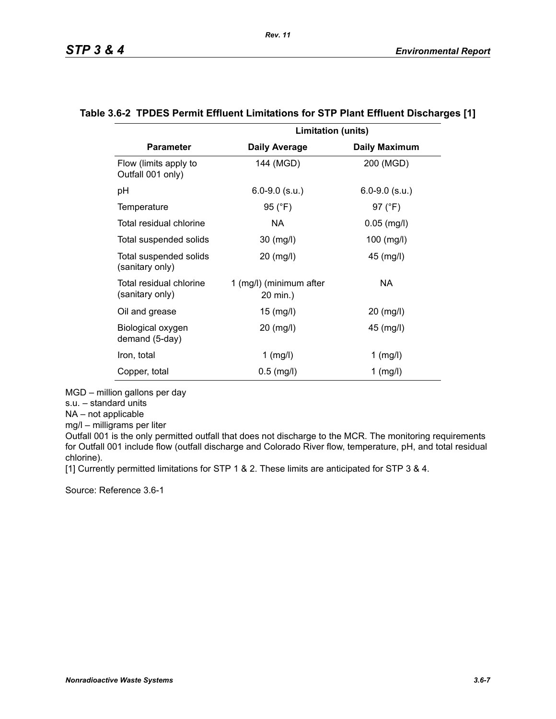|                                            | <b>Limitation (units)</b>           |                      |
|--------------------------------------------|-------------------------------------|----------------------|
| <b>Parameter</b>                           | <b>Daily Average</b>                | <b>Daily Maximum</b> |
| Flow (limits apply to<br>Outfall 001 only) | 144 (MGD)                           | 200 (MGD)            |
| pH                                         | $6.0 - 9.0$ (s.u.)                  | $6.0 - 9.0$ (s.u.)   |
| Temperature                                | 95 $(^{\circ}F)$                    | 97 $(^{\circ}F)$     |
| Total residual chlorine                    | NA.                                 | $0.05$ (mg/l)        |
| Total suspended solids                     | $30 \ (mg/l)$                       | $100$ (mg/l)         |
| Total suspended solids<br>(sanitary only)  | 20 (mg/l)                           | 45 (mg/l)            |
| Total residual chlorine<br>(sanitary only) | 1 (mg/l) (minimum after<br>20 min.) | NA                   |
| Oil and grease                             | $15 \ (mg/l)$                       | 20 (mg/l)            |
| Biological oxygen<br>demand (5-day)        | 20 (mg/l)                           | $45 \ (mg/l)$        |
| Iron, total                                | 1 (mg/l)                            | $1$ (mg/l)           |
| Copper, total                              | $0.5$ (mg/l)                        | $1$ (mg/l)           |

#### **Table 3.6-2 TPDES Permit Effluent Limitations for STP Plant Effluent Discharges [1]**

*Rev. 11*

MGD – million gallons per day

s.u. – standard units

NA – not applicable

mg/l – milligrams per liter

Outfall 001 is the only permitted outfall that does not discharge to the MCR. The monitoring requirements for Outfall 001 include flow (outfall discharge and Colorado River flow, temperature, pH, and total residual chlorine).

[1] Currently permitted limitations for STP 1 & 2. These limits are anticipated for STP 3 & 4.

Source: Reference 3.6-1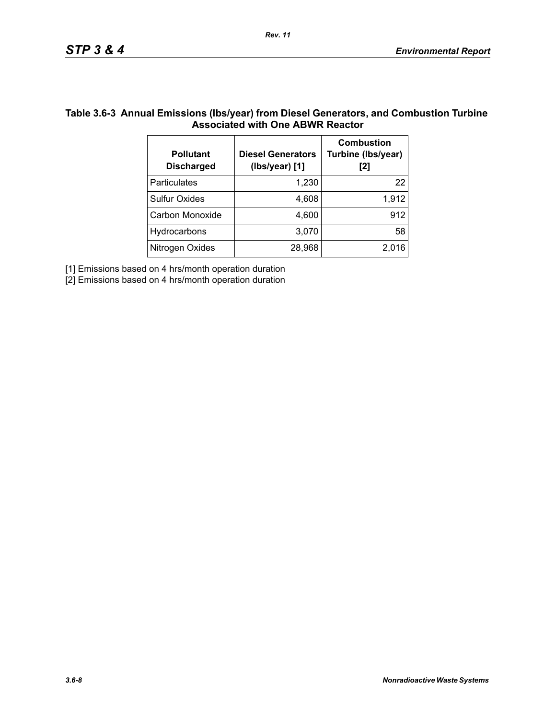### **Table 3.6-3 Annual Emissions (lbs/year) from Diesel Generators, and Combustion Turbine Associated with One ABWR Reactor**

| <b>Pollutant</b><br><b>Discharged</b> | <b>Diesel Generators</b><br>(Ibs/year) [1] | <b>Combustion</b><br>Turbine (Ibs/year)<br>[2] |
|---------------------------------------|--------------------------------------------|------------------------------------------------|
| Particulates                          | 1,230                                      | 22                                             |
| <b>Sulfur Oxides</b>                  | 4,608                                      | 1,912                                          |
| Carbon Monoxide                       | 4,600                                      | 912                                            |
| Hydrocarbons                          | 3,070                                      | 58                                             |
| Nitrogen Oxides                       | 28,968                                     | 2.016                                          |

[1] Emissions based on 4 hrs/month operation duration

[2] Emissions based on 4 hrs/month operation duration